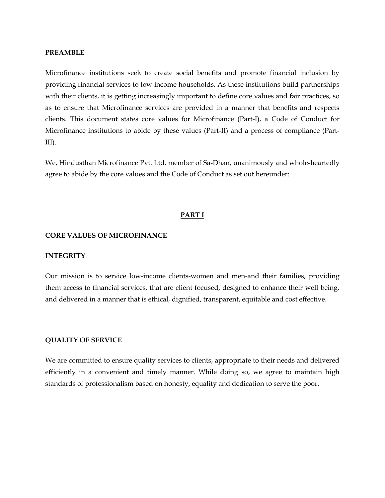#### **PREAMBLE**

Microfinance institutions seek to create social benefits and promote financial inclusion by providing financial services to low income households. As these institutions build partnerships with their clients, it is getting increasingly important to define core values and fair practices, so as to ensure that Microfinance services are provided in a manner that benefits and respects clients. This document states core values for Microfinance (Part-I), a Code of Conduct for Microfinance institutions to abide by these values (Part-II) and a process of compliance (Part-III).

We, Hindusthan Microfinance Pvt. Ltd. member of Sa-Dhan, unanimously and whole-heartedly agree to abide by the core values and the Code of Conduct as set out hereunder:

#### **PART I**

#### **CORE VALUES OF MICROFINANCE**

#### **INTEGRITY**

Our mission is to service low-income clients-women and men-and their families, providing them access to financial services, that are client focused, designed to enhance their well being, and delivered in a manner that is ethical, dignified, transparent, equitable and cost effective.

#### **QUALITY OF SERVICE**

We are committed to ensure quality services to clients, appropriate to their needs and delivered efficiently in a convenient and timely manner. While doing so, we agree to maintain high standards of professionalism based on honesty, equality and dedication to serve the poor.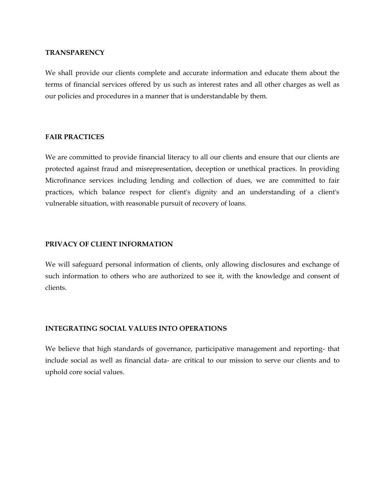#### **TRANSPARENCY**

We shall provide our clients complete and accurate information and educate them about the terms of financial services offered by us such as interest rates and all other charges as well as our policies and procedures in a manner that is understandable by them.

#### **FAIR PRACTICES**

We are committed to provide financial literacy to all our clients and ensure that our clients are protected against fraud and misrepresentation, deception or unethical practices. In providing Microfinance services including lending and collection of dues, we are committed to fair practices, which balance respect for client's dignity and an understanding of a client's vulnerable situation, with reasonable pursuit of recovery of loans.

#### **PRIVACY OF CLIENT INFORMATION**

We will safeguard personal information of clients, only allowing disclosures and exchange of such information to others who are authorized to see it, with the knowledge and consent of clients.

## **INTEGRATING SOCIAL VALUES INTO OPERATIONS**

We believe that high standards of governance, participative management and reporting- that include social as well as financial data- are critical to our mission to serve our clients and to uphold core social values.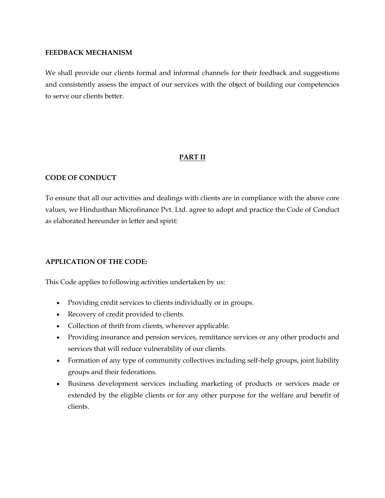#### **FEEDBACK MECHANISM**

We shall provide our clients formal and informal channels for their feedback and suggestions and consistently assess the impact of our services with the object of building our competencies to serve our clients better.

# **PART II**

## **CODE OF CONDUCT**

To ensure that all our activities and dealings with clients are in compliance with the above core values, we Hindusthan Microfinance Pvt. Ltd. agree to adopt and practice the Code of Conduct as elaborated hereunder in letter and spirit:

## **APPLICATION OF THE CODE:**

This Code applies to following activities undertaken by us:

- Providing credit services to clients individually or in groups.
- Recovery of credit provided to clients.
- Collection of thrift from clients, wherever applicable.
- Providing insurance and pension services, remittance services or any other products and services that will reduce vulnerability of our clients.
- Formation of any type of community collectives including self-help groups, joint liability groups and their federations.
- Business development services including marketing of products or services made or extended by the eligible clients or for any other purpose for the welfare and benefit of clients.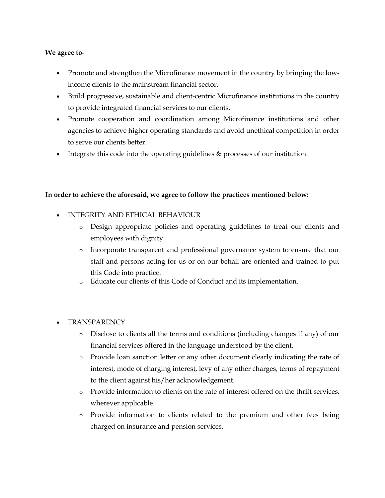## **We agree to-**

- Promote and strengthen the Microfinance movement in the country by bringing the lowincome clients to the mainstream financial sector.
- Build progressive, sustainable and client-centric Microfinance institutions in the country to provide integrated financial services to our clients.
- Promote cooperation and coordination among Microfinance institutions and other agencies to achieve higher operating standards and avoid unethical competition in order to serve our clients better.
- Integrate this code into the operating guidelines & processes of our institution.

## **In order to achieve the aforesaid, we agree to follow the practices mentioned below:**

- INTEGRITY AND ETHICAL BEHAVIOUR
	- o Design appropriate policies and operating guidelines to treat our clients and employees with dignity.
	- o Incorporate transparent and professional governance system to ensure that our staff and persons acting for us or on our behalf are oriented and trained to put this Code into practice.
	- o Educate our clients of this Code of Conduct and its implementation.
- **TRANSPARENCY** 
	- o Disclose to clients all the terms and conditions (including changes if any) of our financial services offered in the language understood by the client.
	- o Provide loan sanction letter or any other document clearly indicating the rate of interest, mode of charging interest, levy of any other charges, terms of repayment to the client against his/her acknowledgement.
	- o Provide information to clients on the rate of interest offered on the thrift services, wherever applicable.
	- o Provide information to clients related to the premium and other fees being charged on insurance and pension services.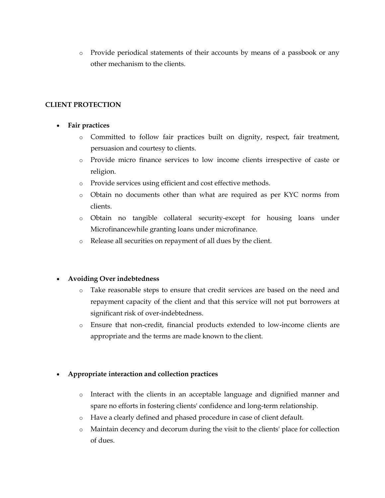o Provide periodical statements of their accounts by means of a passbook or any other mechanism to the clients.

## **CLIENT PROTECTION**

## **Fair practices**

- o Committed to follow fair practices built on dignity, respect, fair treatment, persuasion and courtesy to clients.
- o Provide micro finance services to low income clients irrespective of caste or religion.
- o Provide services using efficient and cost effective methods.
- o Obtain no documents other than what are required as per KYC norms from clients.
- o Obtain no tangible collateral security-except for housing loans under Microfinancewhile granting loans under microfinance.
- o Release all securities on repayment of all dues by the client.

# **Avoiding Over indebtedness**

- o Take reasonable steps to ensure that credit services are based on the need and repayment capacity of the client and that this service will not put borrowers at significant risk of over-indebtedness.
- o Ensure that non-credit, financial products extended to low-income clients are appropriate and the terms are made known to the client.

# **Appropriate interaction and collection practices**

- o Interact with the clients in an acceptable language and dignified manner and spare no efforts in fostering clients' confidence and long-term relationship.
- o Have a clearly defined and phased procedure in case of client default.
- o Maintain decency and decorum during the visit to the clients' place for collection of dues.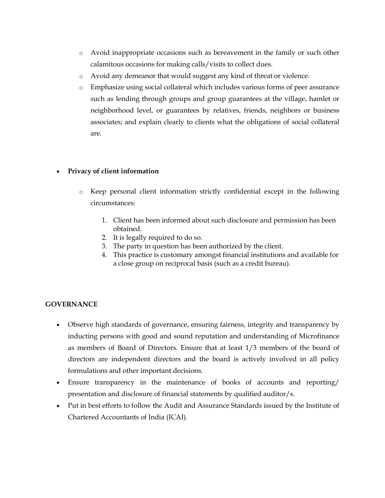- o Avoid inappropriate occasions such as bereavement in the family or such other calamitous occasions for making calls/visits to collect dues.
- o Avoid any demeanor that would suggest any kind of threat or violence.
- o Emphasize using social collateral which includes various forms of peer assurance such as lending through groups and group guarantees at the village, hamlet or neighborhood level, or guarantees by relatives, friends, neighbors or business associates; and explain clearly to clients what the obligations of social collateral are.

# **Privacy of client information**

- o Keep personal client information strictly confidential except in the following circumstances:
	- 1. Client has been informed about such disclosure and permission has been obtained.
	- 2. It is legally required to do so.
	- 3. The party in question has been authorized by the client.
	- 4. This practice is customary amongst financial institutions and available for a close group on reciprocal basis (such as a credit bureau).

# **GOVERNANCE**

- Observe high standards of governance, ensuring fairness, integrity and transparency by inducting persons with good and sound reputation and understanding of Microfinance as members of Board of Directors. Ensure that at least 1/3 members of the board of directors are independent directors and the board is actively involved in all policy formulations and other important decisions.
- Ensure transparency in the maintenance of books of accounts and reporting/ presentation and disclosure of financial statements by qualified auditor/s.
- Put in best efforts to follow the Audit and Assurance Standards issued by the Institute of Chartered Accountants of India (ICAI).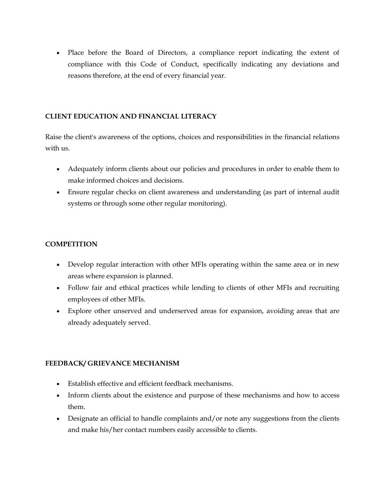Place before the Board of Directors, a compliance report indicating the extent of compliance with this Code of Conduct, specifically indicating any deviations and reasons therefore, at the end of every financial year.

## **CLIENT EDUCATION AND FINANCIAL LITERACY**

Raise the client's awareness of the options, choices and responsibilities in the financial relations with us.

- Adequately inform clients about our policies and procedures in order to enable them to make informed choices and decisions.
- Ensure regular checks on client awareness and understanding (as part of internal audit systems or through some other regular monitoring).

# **COMPETITION**

- Develop regular interaction with other MFIs operating within the same area or in new areas where expansion is planned.
- Follow fair and ethical practices while lending to clients of other MFIs and recruiting employees of other MFIs.
- Explore other unserved and underserved areas for expansion, avoiding areas that are already adequately served.

# **FEEDBACK/ GRIEVANCE MECHANISM**

- Establish effective and efficient feedback mechanisms.
- Inform clients about the existence and purpose of these mechanisms and how to access them.
- Designate an official to handle complaints and/or note any suggestions from the clients and make his/her contact numbers easily accessible to clients.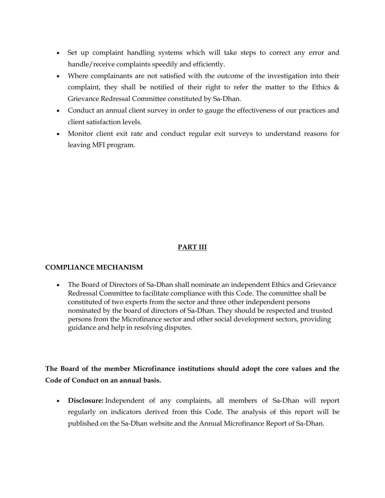- Set up complaint handling systems which will take steps to correct any error and handle/receive complaints speedily and efficiently.
- Where complainants are not satisfied with the outcome of the investigation into their complaint, they shall be notified of their right to refer the matter to the Ethics & Grievance Redressal Committee constituted by Sa-Dhan.
- Conduct an annual client survey in order to gauge the effectiveness of our practices and client satisfaction levels.
- Monitor client exit rate and conduct regular exit surveys to understand reasons for leaving MFI program.

# **PART III**

## **COMPLIANCE MECHANISM**

 The Board of Directors of Sa-Dhan shall nominate an independent Ethics and Grievance Redressal Committee to facilitate compliance with this Code. The committee shall be constituted of two experts from the sector and three other independent persons nominated by the board of directors of Sa-Dhan. They should be respected and trusted persons from the Microfinance sector and other social development sectors, providing guidance and help in resolving disputes.

**The Board of the member Microfinance institutions should adopt the core values and the Code of Conduct on an annual basis.**

 **Disclosure:** Independent of any complaints, all members of Sa-Dhan will report regularly on indicators derived from this Code. The analysis of this report will be published on the Sa-Dhan website and the Annual Microfinance Report of Sa-Dhan.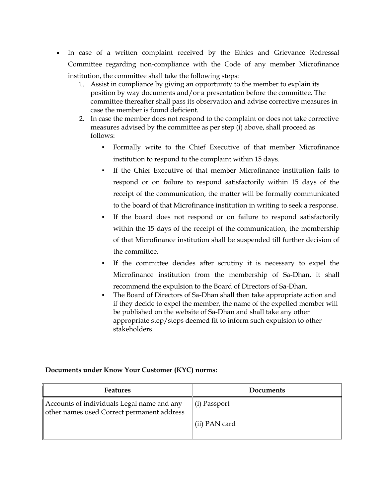- In case of a written complaint received by the Ethics and Grievance Redressal Committee regarding non-compliance with the Code of any member Microfinance institution, the committee shall take the following steps:
	- 1. Assist in compliance by giving an opportunity to the member to explain its position by way documents and/or a presentation before the committee. The committee thereafter shall pass its observation and advise corrective measures in case the member is found deficient.
	- 2. In case the member does not respond to the complaint or does not take corrective measures advised by the committee as per step (i) above, shall proceed as follows:
		- Formally write to the Chief Executive of that member Microfinance institution to respond to the complaint within 15 days.
		- If the Chief Executive of that member Microfinance institution fails to respond or on failure to respond satisfactorily within 15 days of the receipt of the communication, the matter will be formally communicated to the board of that Microfinance institution in writing to seek a response.
		- If the board does not respond or on failure to respond satisfactorily within the 15 days of the receipt of the communication, the membership of that Microfinance institution shall be suspended till further decision of the committee.
		- If the committee decides after scrutiny it is necessary to expel the Microfinance institution from the membership of Sa-Dhan, it shall recommend the expulsion to the Board of Directors of Sa-Dhan.
		- The Board of Directors of Sa-Dhan shall then take appropriate action and if they decide to expel the member, the name of the expelled member will be published on the website of Sa-Dhan and shall take any other appropriate step/steps deemed fit to inform such expulsion to other stakeholders.

## **Documents under Know Your Customer (KYC) norms:**

| <b>Features</b>                                                                          | Documents     |
|------------------------------------------------------------------------------------------|---------------|
| Accounts of individuals Legal name and any<br>other names used Correct permanent address | (i) Passport  |
|                                                                                          | (ii) PAN card |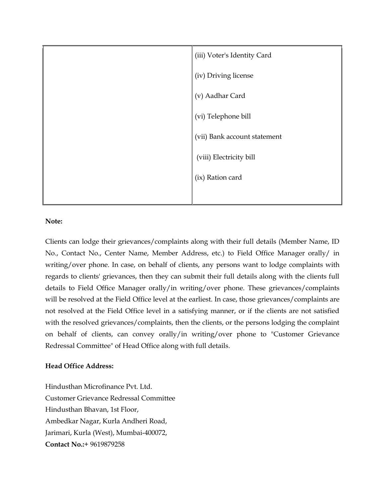

## **Note:**

Clients can lodge their grievances/complaints along with their full details (Member Name, ID No., Contact No., Center Name, Member Address, etc.) to Field Office Manager orally/ in writing/over phone. In case, on behalf of clients, any persons want to lodge complaints with regards to clients' grievances, then they can submit their full details along with the clients full details to Field Office Manager orally/in writing/over phone. These grievances/complaints will be resolved at the Field Office level at the earliest. In case, those grievances/complaints are not resolved at the Field Office level in a satisfying manner, or if the clients are not satisfied with the resolved grievances/complaints, then the clients, or the persons lodging the complaint on behalf of clients, can convey orally/in writing/over phone to "Customer Grievance Redressal Committee" of Head Office along with full details.

#### **Head Office Address:**

Hindusthan Microfinance Pvt. Ltd. Customer Grievance Redressal Committee Hindusthan Bhavan, 1st Floor, Ambedkar Nagar, Kurla Andheri Road, Jarimari, Kurla (West), Mumbai-400072, **Contact No.:**+ 9619879258